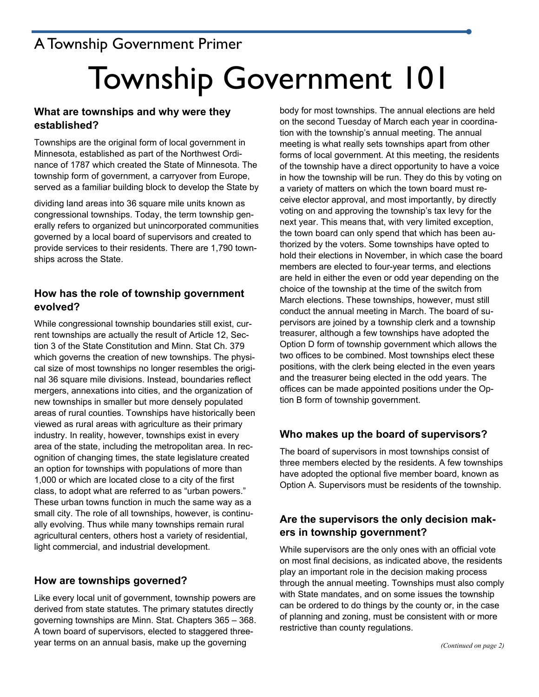# A Township Government Primer

# Township Government 101

# **What are townships and why were they established?**

Townships are the original form of local government in Minnesota, established as part of the Northwest Ordinance of 1787 which created the State of Minnesota. The township form of government, a carryover from Europe, served as a familiar building block to develop the State by

dividing land areas into 36 square mile units known as congressional townships. Today, the term township generally refers to organized but unincorporated communities governed by a local board of supervisors and created to provide services to their residents. There are 1,790 townships across the State.

# **How has the role of township government evolved?**

While congressional township boundaries still exist, current townships are actually the result of Article 12, Section 3 of the State Constitution and Minn. Stat Ch. 379 which governs the creation of new townships. The physical size of most townships no longer resembles the original 36 square mile divisions. Instead, boundaries reflect mergers, annexations into cities, and the organization of new townships in smaller but more densely populated areas of rural counties. Townships have historically been viewed as rural areas with agriculture as their primary industry. In reality, however, townships exist in every area of the state, including the metropolitan area. In recognition of changing times, the state legislature created an option for townships with populations of more than 1,000 or which are located close to a city of the first class, to adopt what are referred to as "urban powers." These urban towns function in much the same way as a small city. The role of all townships, however, is continually evolving. Thus while many townships remain rural agricultural centers, others host a variety of residential, light commercial, and industrial development.

# **How are townships governed?**

Like every local unit of government, township powers are derived from state statutes. The primary statutes directly governing townships are Minn. Stat. Chapters 365 – 368. A town board of supervisors, elected to staggered threeyear terms on an annual basis, make up the governing

body for most townships. The annual elections are held on the second Tuesday of March each year in coordination with the township's annual meeting. The annual meeting is what really sets townships apart from other forms of local government. At this meeting, the residents of the township have a direct opportunity to have a voice in how the township will be run. They do this by voting on a variety of matters on which the town board must receive elector approval, and most importantly, by directly voting on and approving the township's tax levy for the next year. This means that, with very limited exception, the town board can only spend that which has been authorized by the voters. Some townships have opted to hold their elections in November, in which case the board members are elected to four-year terms, and elections are held in either the even or odd year depending on the choice of the township at the time of the switch from March elections. These townships, however, must still conduct the annual meeting in March. The board of supervisors are joined by a township clerk and a township treasurer, although a few townships have adopted the Option D form of township government which allows the two offices to be combined. Most townships elect these positions, with the clerk being elected in the even years and the treasurer being elected in the odd years. The offices can be made appointed positions under the Option B form of township government.

# **Who makes up the board of supervisors?**

The board of supervisors in most townships consist of three members elected by the residents. A few townships have adopted the optional five member board, known as Option A. Supervisors must be residents of the township.

# **Are the supervisors the only decision makers in township government?**

While supervisors are the only ones with an official vote on most final decisions, as indicated above, the residents play an important role in the decision making process through the annual meeting. Townships must also comply with State mandates, and on some issues the township can be ordered to do things by the county or, in the case of planning and zoning, must be consistent with or more restrictive than county regulations.